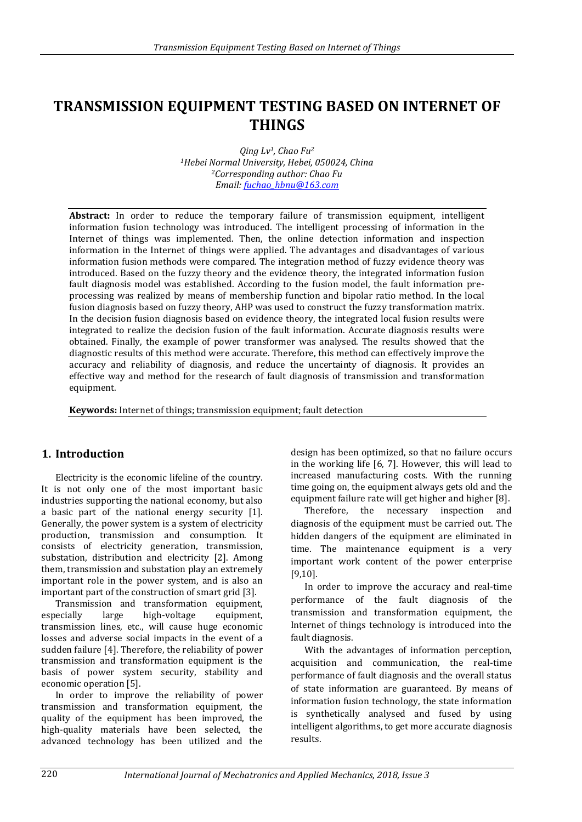# **TRANSMISSION EQUIPMENT TESTING BASED ON INTERNET OF THINGS**

*Qing Lv1, Chao Fu<sup>2</sup> <sup>1</sup>Hebei Normal University, Hebei, 050024, China <sup>2</sup>Corresponding author: Chao Fu Email[: fuchao\\_hbnu@163.com](mailto:fuchao_hbnu@163.com)* 

**Abstract:** In order to reduce the temporary failure of transmission equipment, intelligent information fusion technology was introduced. The intelligent processing of information in the Internet of things was implemented. Then, the online detection information and inspection information in the Internet of things were applied. The advantages and disadvantages of various information fusion methods were compared. The integration method of fuzzy evidence theory was introduced. Based on the fuzzy theory and the evidence theory, the integrated information fusion fault diagnosis model was established. According to the fusion model, the fault information preprocessing was realized by means of membership function and bipolar ratio method. In the local fusion diagnosis based on fuzzy theory, AHP was used to construct the fuzzy transformation matrix. In the decision fusion diagnosis based on evidence theory, the integrated local fusion results were integrated to realize the decision fusion of the fault information. Accurate diagnosis results were obtained. Finally, the example of power transformer was analysed. The results showed that the diagnostic results of this method were accurate. Therefore, this method can effectively improve the accuracy and reliability of diagnosis, and reduce the uncertainty of diagnosis. It provides an effective way and method for the research of fault diagnosis of transmission and transformation equipment.

**Keywords:** Internet of things; transmission equipment; fault detection

# **1. Introduction**

Electricity is the economic lifeline of the country. It is not only one of the most important basic industries supporting the national economy, but also a basic part of the national energy security [1]. Generally, the power system is a system of electricity production, transmission and consumption. It consists of electricity generation, transmission, substation, distribution and electricity [2]. Among them, transmission and substation play an extremely important role in the power system, and is also an important part of the construction of smart grid [3].

Transmission and transformation equipment, especially large high-voltage equipment, transmission lines, etc., will cause huge economic losses and adverse social impacts in the event of a sudden failure [4]. Therefore, the reliability of power transmission and transformation equipment is the basis of power system security, stability and economic operation [5].

In order to improve the reliability of power transmission and transformation equipment, the quality of the equipment has been improved, the high-quality materials have been selected, the advanced technology has been utilized and the design has been optimized, so that no failure occurs in the working life [6, 7]. However, this will lead to increased manufacturing costs. With the running time going on, the equipment always gets old and the equipment failure rate will get higher and higher [8].

Therefore, the necessary inspection and diagnosis of the equipment must be carried out. The hidden dangers of the equipment are eliminated in time. The maintenance equipment is a very important work content of the power enterprise [9,10].

In order to improve the accuracy and real-time performance of the fault diagnosis of the transmission and transformation equipment, the Internet of things technology is introduced into the fault diagnosis.

With the advantages of information perception, acquisition and communication, the real-time performance of fault diagnosis and the overall status of state information are guaranteed. By means of information fusion technology, the state information is synthetically analysed and fused by using intelligent algorithms, to get more accurate diagnosis results.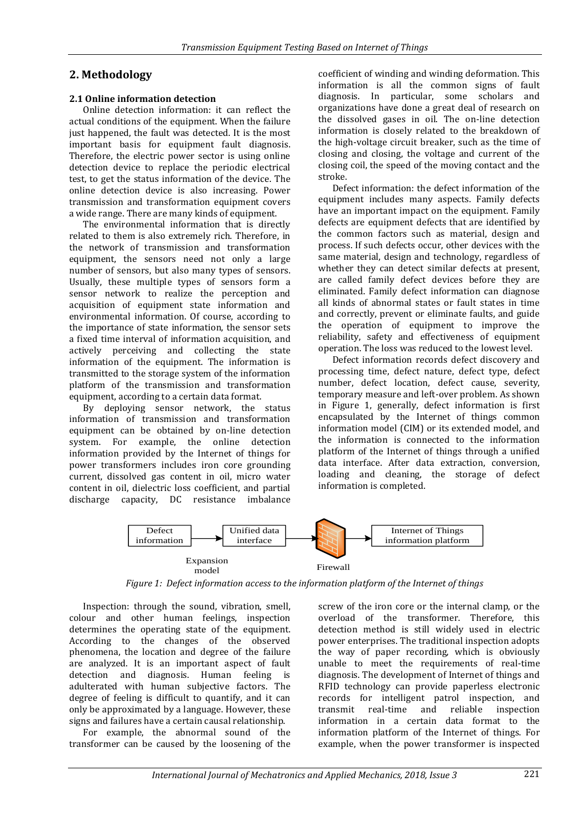## **2. Methodology**

### **2.1 Online information detection**

Online detection information: it can reflect the actual conditions of the equipment. When the failure just happened, the fault was detected. It is the most important basis for equipment fault diagnosis. Therefore, the electric power sector is using online detection device to replace the periodic electrical test, to get the status information of the device. The online detection device is also increasing. Power transmission and transformation equipment covers a wide range. There are many kinds of equipment.

The environmental information that is directly related to them is also extremely rich. Therefore, in the network of transmission and transformation equipment, the sensors need not only a large number of sensors, but also many types of sensors. Usually, these multiple types of sensors form a sensor network to realize the perception and acquisition of equipment state information and environmental information. Of course, according to the importance of state information, the sensor sets a fixed time interval of information acquisition, and actively perceiving and collecting the state information of the equipment. The information is transmitted to the storage system of the information platform of the transmission and transformation equipment, according to a certain data format.

By deploying sensor network, the status information of transmission and transformation equipment can be obtained by on-line detection system. For example, the online detection information provided by the Internet of things for power transformers includes iron core grounding current, dissolved gas content in oil, micro water content in oil, dielectric loss coefficient, and partial discharge capacity, DC resistance imbalance

coefficient of winding and winding deformation. This information is all the common signs of fault diagnosis. In particular, some scholars and organizations have done a great deal of research on the dissolved gases in oil. The on-line detection information is closely related to the breakdown of the high-voltage circuit breaker, such as the time of closing and closing, the voltage and current of the closing coil, the speed of the moving contact and the stroke.

Defect information: the defect information of the equipment includes many aspects. Family defects have an important impact on the equipment. Family defects are equipment defects that are identified by the common factors such as material, design and process. If such defects occur, other devices with the same material, design and technology, regardless of whether they can detect similar defects at present, are called family defect devices before they are eliminated. Family defect information can diagnose all kinds of abnormal states or fault states in time and correctly, prevent or eliminate faults, and guide the operation of equipment to improve the reliability, safety and effectiveness of equipment operation. The loss was reduced to the lowest level.

Defect information records defect discovery and processing time, defect nature, defect type, defect number, defect location, defect cause, severity, temporary measure and left-over problem. As shown in Figure 1, generally, defect information is first encapsulated by the Internet of things common information model (CIM) or its extended model, and the information is connected to the information platform of the Internet of things through a unified data interface. After data extraction, conversion, loading and cleaning, the storage of defect information is completed.



*Figure 1: Defect information access to the information platform of the Internet of things*

Inspection: through the sound, vibration, smell, colour and other human feelings, inspection determines the operating state of the equipment. According to the changes of the observed phenomena, the location and degree of the failure are analyzed. It is an important aspect of fault detection and diagnosis. Human feeling is adulterated with human subjective factors. The degree of feeling is difficult to quantify, and it can only be approximated by a language. However, these signs and failures have a certain causal relationship.

For example, the abnormal sound of the transformer can be caused by the loosening of the screw of the iron core or the internal clamp, or the overload of the transformer. Therefore, this detection method is still widely used in electric power enterprises. The traditional inspection adopts the way of paper recording, which is obviously unable to meet the requirements of real-time diagnosis. The development of Internet of things and RFID technology can provide paperless electronic records for intelligent patrol inspection, and transmit real-time and reliable inspection information in a certain data format to the information platform of the Internet of things. For example, when the power transformer is inspected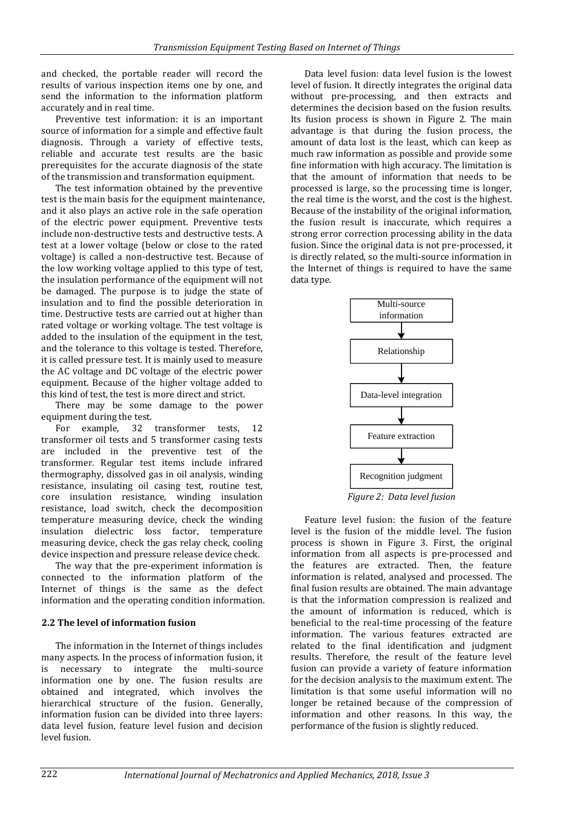and checked, the portable reader will record the results of various inspection items one by one, and send the information to the information platform accurately and in real time.

Preventive test information: it is an important source of information for a simple and effective fault diagnosis. Through a variety of effective tests, reliable and accurate test results are the basic prerequisites for the accurate diagnosis of the state of the transmission and transformation equipment.

The test information obtained by the preventive test is the main basis for the equipment maintenance, and it also plays an active role in the safe operation of the electric power equipment. Preventive tests include non-destructive tests and destructive tests. A test at a lower voltage (below or close to the rated voltage) is called a non-destructive test. Because of the low working voltage applied to this type of test, the insulation performance of the equipment will not be damaged. The purpose is to judge the state of insulation and to find the possible deterioration in time. Destructive tests are carried out at higher than rated voltage or working voltage. The test voltage is added to the insulation of the equipment in the test, and the tolerance to this voltage is tested. Therefore, it is called pressure test. It is mainly used to measure the AC voltage and DC voltage of the electric power equipment. Because of the higher voltage added to this kind of test, the test is more direct and strict.

There may be some damage to the power equipment during the test.

For example, 32 transformer tests, 12 transformer oil tests and 5 transformer casing tests are included in the preventive test of the transformer. Regular test items include infrared thermography, dissolved gas in oil analysis, winding resistance, insulating oil casing test, routine test, core insulation resistance, winding insulation resistance, load switch, check the decomposition temperature measuring device, check the winding insulation dielectric loss factor, temperature measuring device, check the gas relay check, cooling device inspection and pressure release device check.

The way that the pre-experiment information is connected to the information platform of the Internet of things is the same as the defect information and the operating condition information.

## **2.2 The level of information fusion**

The information in the Internet of things includes many aspects. In the process of information fusion, it is necessary to integrate the multi-source information one by one. The fusion results are obtained and integrated, which involves the hierarchical structure of the fusion. Generally, information fusion can be divided into three layers: data level fusion, feature level fusion and decision level fusion.

Data level fusion: data level fusion is the lowest level of fusion. It directly integrates the original data without pre-processing, and then extracts and determines the decision based on the fusion results. Its fusion process is shown in Figure 2. The main advantage is that during the fusion process, the amount of data lost is the least, which can keep as much raw information as possible and provide some fine information with high accuracy. The limitation is that the amount of information that needs to be processed is large, so the processing time is longer, the real time is the worst, and the cost is the highest. Because of the instability of the original information, the fusion result is inaccurate, which requires a strong error correction processing ability in the data fusion. Since the original data is not pre-processed, it is directly related, so the multi-source information in the Internet of things is required to have the same data type.



*Figure 2: Data level fusion*

Feature level fusion: the fusion of the feature level is the fusion of the middle level. The fusion process is shown in Figure 3. First, the original information from all aspects is pre-processed and the features are extracted. Then, the feature information is related, analysed and processed. The final fusion results are obtained. The main advantage is that the information compression is realized and the amount of information is reduced, which is beneficial to the real-time processing of the feature information. The various features extracted are related to the final identification and judgment results. Therefore, the result of the feature level fusion can provide a variety of feature information for the decision analysis to the maximum extent. The limitation is that some useful information will no longer be retained because of the compression of information and other reasons. In this way, the performance of the fusion is slightly reduced.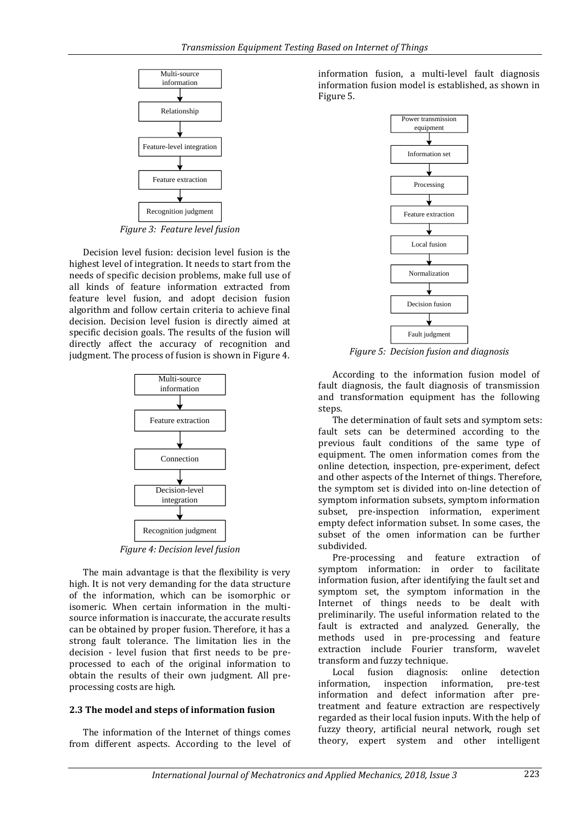

*Figure 3: Feature level fusion*

Decision level fusion: decision level fusion is the highest level of integration. It needs to start from the needs of specific decision problems, make full use of all kinds of feature information extracted from feature level fusion, and adopt decision fusion algorithm and follow certain criteria to achieve final decision. Decision level fusion is directly aimed at specific decision goals. The results of the fusion will directly affect the accuracy of recognition and judgment. The process of fusion is shown in Figure 4.



*Figure 4: Decision level fusion*

The main advantage is that the flexibility is very high. It is not very demanding for the data structure of the information, which can be isomorphic or isomeric. When certain information in the multisource information is inaccurate, the accurate results can be obtained by proper fusion. Therefore, it has a strong fault tolerance. The limitation lies in the decision - level fusion that first needs to be preprocessed to each of the original information to obtain the results of their own judgment. All preprocessing costs are high.

#### **2.3 The model and steps of information fusion**

The information of the Internet of things comes from different aspects. According to the level of information fusion, a multi-level fault diagnosis information fusion model is established, as shown in Figure 5.



*Figure 5: Decision fusion and diagnosis*

According to the information fusion model of fault diagnosis, the fault diagnosis of transmission and transformation equipment has the following steps.

**IFFERENCES (FREE CONTINUOS)**<br> **IFFERENCE ACCESS and Applied Mechanics**, 2018, Issue 3<br> **IFFERENCE ACCESS and Applied Mechanics, 2018, Issue 3**<br> **IFFERENCE ACCESS** and Applied Access and Applied Access and Applied Access a The determination of fault sets and symptom sets: fault sets can be determined according to the previous fault conditions of the same type of equipment. The omen information comes from the online detection, inspection, pre-experiment, defect and other aspects of the Internet of things. Therefore, the symptom set is divided into on-line detection of symptom information subsets, symptom information subset, pre-inspection information, experiment empty defect information subset. In some cases, the subset of the omen information can be further subdivided.

Pre-processing and feature extraction of symptom information: in order to facilitate information fusion, after identifying the fault set and symptom set, the symptom information in the Internet of things needs to be dealt with preliminarily. The useful information related to the fault is extracted and analyzed. Generally, the methods used in pre-processing and feature extraction include Fourier transform, wavelet transform and fuzzy technique.

Local fusion diagnosis: online detection information, inspection information, pre-test information and defect information after pretreatment and feature extraction are respectively regarded as their local fusion inputs. With the help of fuzzy theory, artificial neural network, rough set theory, expert system and other intelligent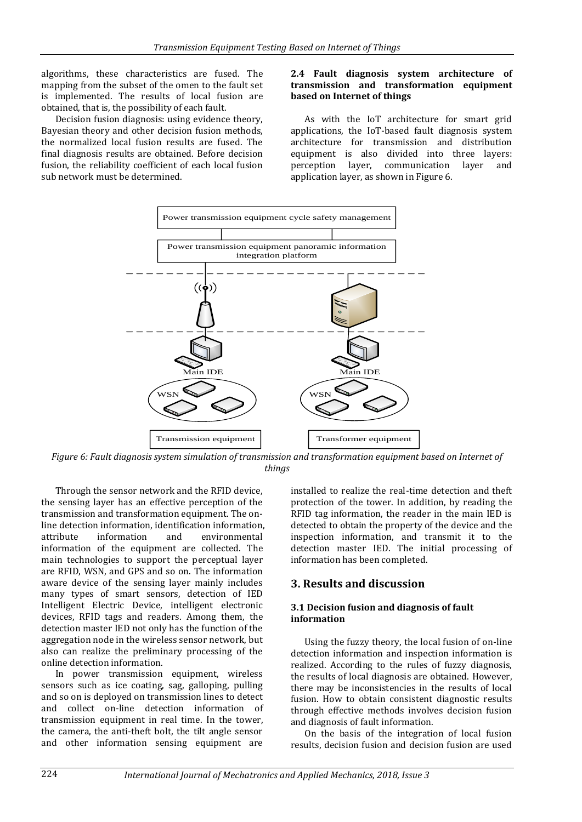algorithms, these characteristics are fused. The mapping from the subset of the omen to the fault set is implemented. The results of local fusion are obtained, that is, the possibility of each fault.

Decision fusion diagnosis: using evidence theory, Bayesian theory and other decision fusion methods, the normalized local fusion results are fused. The final diagnosis results are obtained. Before decision fusion, the reliability coefficient of each local fusion sub network must be determined.

### **2.4 Fault diagnosis system architecture of transmission and transformation equipment based on Internet of things**

As with the IoT architecture for smart grid applications, the IoT-based fault diagnosis system architecture for transmission and distribution equipment is also divided into three layers:<br>perception layer, communication layer and communication layer and application layer, as shown in Figure 6.



*Figure 6: Fault diagnosis system simulation of transmission and transformation equipment based on Internet of things*

Through the sensor network and the RFID device, the sensing layer has an effective perception of the transmission and transformation equipment. The online detection information, identification information, attribute information and environmental information of the equipment are collected. The main technologies to support the perceptual layer are RFID, WSN, and GPS and so on. The information aware device of the sensing layer mainly includes many types of smart sensors, detection of IED Intelligent Electric Device, intelligent electronic devices, RFID tags and readers. Among them, the detection master IED not only has the function of the aggregation node in the wireless sensor network, but also can realize the preliminary processing of the online detection information.

In power transmission equipment, wireless sensors such as ice coating, sag, galloping, pulling and so on is deployed on transmission lines to detect and collect on-line detection information of transmission equipment in real time. In the tower, the camera, the anti-theft bolt, the tilt angle sensor and other information sensing equipment are

installed to realize the real-time detection and theft protection of the tower. In addition, by reading the RFID tag information, the reader in the main IED is detected to obtain the property of the device and the inspection information, and transmit it to the detection master IED. The initial processing of information has been completed.

## **3. Results and discussion**

#### **3.1 Decision fusion and diagnosis of fault information**

Using the fuzzy theory, the local fusion of on-line detection information and inspection information is realized. According to the rules of fuzzy diagnosis, the results of local diagnosis are obtained. However, there may be inconsistencies in the results of local fusion. How to obtain consistent diagnostic results through effective methods involves decision fusion and diagnosis of fault information.

On the basis of the integration of local fusion results, decision fusion and decision fusion are used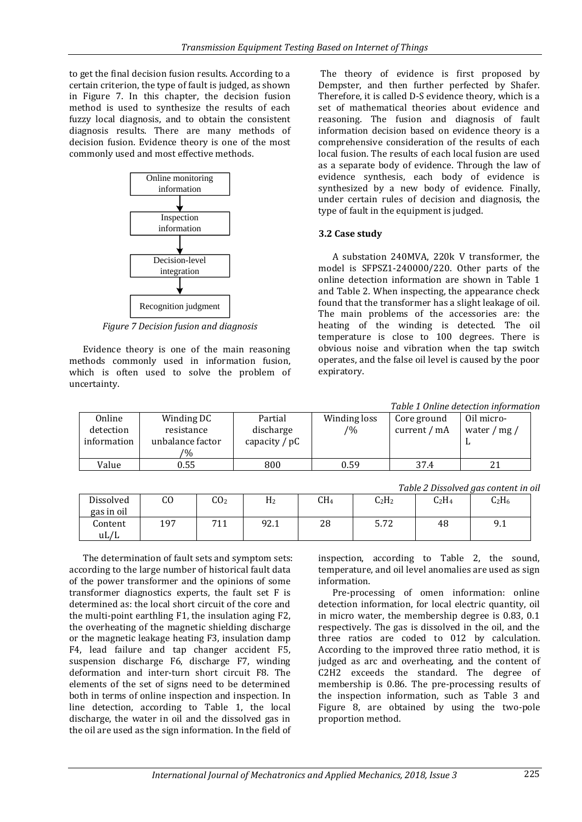to get the final decision fusion results. According to a certain criterion, the type of fault is judged, as shown in Figure 7. In this chapter, the decision fusion method is used to synthesize the results of each fuzzy local diagnosis, and to obtain the consistent diagnosis results. There are many methods of decision fusion. Evidence theory is one of the most commonly used and most effective methods.



*Figure 7 Decision fusion and diagnosis*

Evidence theory is one of the main reasoning methods commonly used in information fusion, which is often used to solve the problem of uncertainty.

The theory of evidence is first proposed by Dempster, and then further perfected by Shafer. Therefore, it is called D-S evidence theory, which is a set of mathematical theories about evidence and reasoning. The fusion and diagnosis of fault information decision based on evidence theory is a comprehensive consideration of the results of each local fusion. The results of each local fusion are used as a separate body of evidence. Through the law of evidence synthesis, each body of evidence is synthesized by a new body of evidence. Finally, under certain rules of decision and diagnosis, the type of fault in the equipment is judged.

## **3.2 Case study**

A substation 240MVA, 220k V transformer, the model is SFPSZ1-240000/220. Other parts of the online detection information are shown in Table 1 and Table 2. When inspecting, the appearance check found that the transformer has a slight leakage of oil. The main problems of the accessories are: the heating of the winding is detected. The oil temperature is close to 100 degrees. There is obvious noise and vibration when the tap switch operates, and the false oil level is caused by the poor expiratory.

*Table 1 Online detection information*

| Online      | Winding DC       | Partial         | Winding loss   | Core ground  | Oil micro-          |
|-------------|------------------|-----------------|----------------|--------------|---------------------|
| detection   | resistance       | discharge       | $\frac{10}{6}$ | current / mA | water / mg $\prime$ |
| information | unbalance factor | capacity $/ pC$ |                |              |                     |
|             | $\frac{10}{6}$   |                 |                |              |                     |
| Value       | 0.55             | 800             | 0.59           | 37.4         | 21                  |

|                         |     |                 |      |     |          |          | Table 2 Dissolved gas content in oil |
|-------------------------|-----|-----------------|------|-----|----------|----------|--------------------------------------|
| Dissolved<br>gas in oil | CO  | CO <sub>2</sub> | H2   | CH4 | $C_2H_2$ | $C_2H_4$ | $C_2H_6$                             |
| Content<br>uL/L         | 197 | 711             | 92.1 | 28  | 5.72     | 48       | 9.1                                  |

The determination of fault sets and symptom sets: according to the large number of historical fault data of the power transformer and the opinions of some transformer diagnostics experts, the fault set F is determined as: the local short circuit of the core and the multi-point earthling F1, the insulation aging F2, the overheating of the magnetic shielding discharge or the magnetic leakage heating F3, insulation damp F4, lead failure and tap changer accident F5, suspension discharge F6, discharge F7, winding deformation and inter-turn short circuit F8. The elements of the set of signs need to be determined both in terms of online inspection and inspection. In line detection, according to Table 1, the local discharge, the water in oil and the dissolved gas in the oil are used as the sign information. In the field of

inspection, according to Table 2, the sound, temperature, and oil level anomalies are used as sign information.

Pre-processing of omen information: online detection information, for local electric quantity, oil in micro water, the membership degree is 0.83, 0.1 respectively. The gas is dissolved in the oil, and the three ratios are coded to 012 by calculation. According to the improved three ratio method, it is judged as arc and overheating, and the content of C2H2 exceeds the standard. The degree of membership is 0.86. The pre-processing results of the inspection information, such as Table 3 and Figure 8, are obtained by using the two-pole proportion method.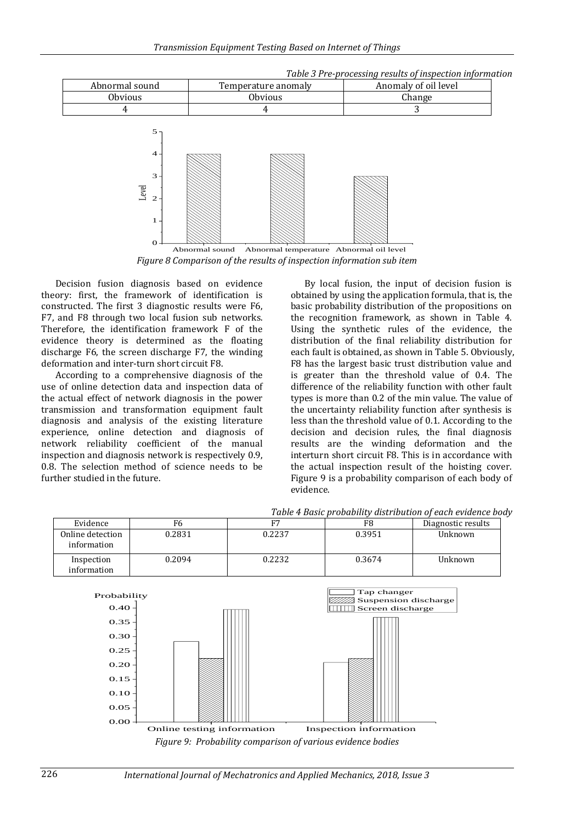

*Figure 8 Comparison of the results of inspection information sub item*

Decision fusion diagnosis based on evidence theory: first, the framework of identification is constructed. The first 3 diagnostic results were F6, F7, and F8 through two local fusion sub networks. Therefore, the identification framework F of the evidence theory is determined as the floating discharge F6, the screen discharge F7, the winding deformation and inter-turn short circuit F8.

According to a comprehensive diagnosis of the use of online detection data and inspection data of the actual effect of network diagnosis in the power transmission and transformation equipment fault diagnosis and analysis of the existing literature experience, online detection and diagnosis of network reliability coefficient of the manual inspection and diagnosis network is respectively 0.9, 0.8. The selection method of science needs to be further studied in the future.

By local fusion, the input of decision fusion is obtained by using the application formula, that is, the basic probability distribution of the propositions on the recognition framework, as shown in Table 4. Using the synthetic rules of the evidence, the distribution of the final reliability distribution for each fault is obtained, as shown in Table 5. Obviously, F8 has the largest basic trust distribution value and is greater than the threshold value of 0.4. The difference of the reliability function with other fault types is more than 0.2 of the min value. The value of the uncertainty reliability function after synthesis is less than the threshold value of 0.1. According to the decision and decision rules, the final diagnosis results are the winding deformation and the interturn short circuit F8. This is in accordance with the actual inspection result of the hoisting cover. Figure 9 is a probability comparison of each body of evidence.

*Table 3 Pre-processing results of inspection information*

|                                 |        |        |        | Tuble T Duble bi obublity alon louvion of cuch cyluched bo |
|---------------------------------|--------|--------|--------|------------------------------------------------------------|
| Evidence                        | rn     |        | F8     | Diagnostic results                                         |
| Online detection<br>information | 0.2831 | 0.2237 | 0.3951 | Unknown                                                    |
| Inspection<br>information       | 0.2094 | 0.2232 | 0.3674 | Unknown                                                    |





226 *International Journal of Mechatronics and Applied Mechanics, 2018, Issue 3*